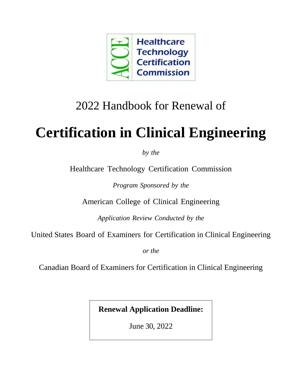

## 2022 Handbook for Renewal of

# **Certification in Clinical Engineering**

*by the*

Healthcare Technology [Certification](http://accenet.org/CECertification/Pages/Default.aspx) Commission

*Program Sponsored by the*

American College of Clinical Engineering

*Application Review Conducted by the*

United States Board of Examiners for Certification in Clinical Engineering

*or the*

Canadian Board of Examiners for Certification in Clinical Engineering

**Renewal Application Deadline:** 

June 30, 2022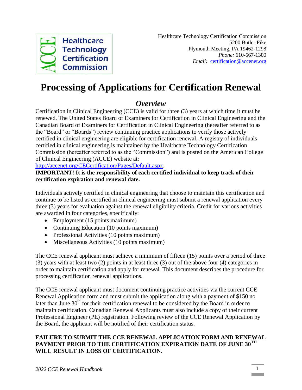

### **Processing of Applications for Certification Renewal**

#### *Overview*

Certification in Clinical Engineering (CCE) is valid for three (3) years at which time it must be renewed. The United States Board of Examiners for Certification in Clinical Engineering and the Canadian Board of Examiners for Certification in Clinical Engineering (hereafter referred to as the "Board" or "Boards") review continuing practice applications to verify those actively certified in clinical engineering are eligible for certification renewal. A registry of individuals certified in clinical engineering is maintained by the Healthcare Technology Certification Commission (hereafter referred to as the "Commission") and is posted on the American College of Clinical Engineering (ACCE) website at:

[http://accenet.org/CECertification/Pages/Default.aspx.](http://accenet.org/CECertification/Pages/Default.aspx)

#### **IMPORTANT! It is the responsibility of each certified individual to keep track of their certification expiration and renewal date.**

Individuals actively certified in clinical engineering that choose to maintain this certification and continue to be listed as certified in clinical engineering must submit a renewal application every three (3) years for evaluation against the renewal eligibility criteria. Credit for various activities are awarded in four categories, specifically:

- Employment (15 points maximum)
- Continuing Education (10 points maximum)
- Professional Activities (10 points maximum)
- Miscellaneous Activities (10 points maximum)

The CCE renewal applicant must achieve a minimum of fifteen (15) points over a period of three (3) years with at least two (2) points in at least three (3) out of the above four (4) categories in order to maintain certification and apply for renewal. This document describes the procedure for processing certification renewal applications.

The CCE renewal applicant must document continuing practice activities via the current CCE Renewal Application form and must submit the application along with a payment of \$150 no later than June  $30<sup>th</sup>$  for their certification renewal to be considered by the Board in order to maintain certification. Canadian Renewal Applicants must also include a copy of their current Professional Engineer (PE) registration. Following review of the CCE Renewal Application by the Board, the applicant will be notified of their certification status.

#### **FAILURE TO SUBMIT THE CCE RENEWAL APPLICATION FORM AND RENEWAL PAYMENT PRIOR TO THE CERTIFICATION EXPIRATION DATE OF JUNE 30TH WILL RESULT IN LOSS OF CERTIFICATION.**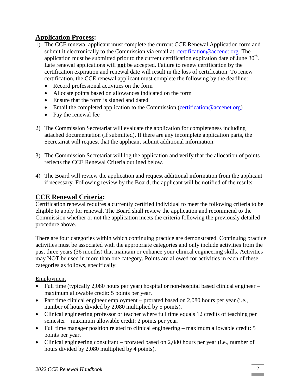#### **Application Process:**

- 1) The CCE renewal applicant must complete the current CCE Renewal Application form and submit it electronically to the Commission via email at: [certification@accenet.org.](mailto:certification@accenet.org) The application must be submitted prior to the current certification expiration date of June  $30<sup>th</sup>$ . Late renewal applications will **not** be accepted. Failure to renew certification by the certification expiration and renewal date will result in the loss of certification. To renew certification, the CCE renewal applicant must complete the following by the deadline:
	- Record professional activities on the form
	- Allocate points based on allowances indicated on the form
	- Ensure that the form is signed and dated
	- Email the completed application to the Commission (certification  $@$  accenet.org)
	- Pay the renewal fee
- 2) The Commission Secretariat will evaluate the application for completeness including attached documentation (if submitted). If there are any incomplete application parts, the Secretariat will request that the applicant submit additional information.
- 3) The Commission Secretariat will log the application and verify that the allocation of points reflects the CCE Renewal Criteria outlined below.
- 4) The Board will review the application and request additional information from the applicant if necessary. Following review by the Board, the applicant will be notified of the results.

#### **CCE Renewal Criteria:**

Certification renewal requires a currently certified individual to meet the following criteria to be eligible to apply for renewal. The Board shall review the application and recommend to the Commission whether or not the application meets the criteria following the previously detailed procedure above.

There are four categories within which continuing practice are demonstrated. Continuing practice activities must be associated with the appropriate categories and only include activities from the past three years (36 months) that maintain or enhance your clinical engineering skills. Activities may NOT be used in more than one category. Points are allowed for activities in each of these categories as follows, specifically:

#### Employment

- Full time (typically 2,080 hours per year) hospital or non-hospital based clinical engineer maximum allowable credit: 5 points per year.
- Part time clinical engineer employment prorated based on 2,080 hours per year (i.e., number of hours divided by 2,080 multiplied by 5 points).
- Clinical engineering professor or teacher where full time equals 12 credits of teaching per semester – maximum allowable credit: 2 points per year.
- Full time manager position related to clinical engineering maximum allowable credit: 5 points per year.
- Clinical engineering consultant prorated based on 2,080 hours per year (i.e., number of hours divided by 2,080 multiplied by 4 points).